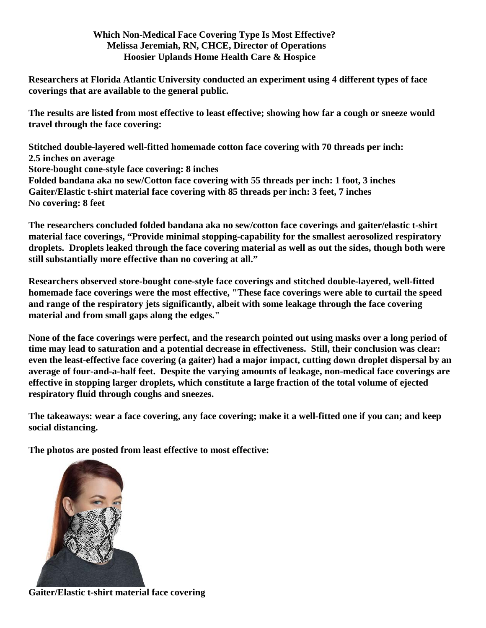## **Which Non-Medical Face Covering Type Is Most Effective? Melissa Jeremiah, RN, CHCE, Director of Operations Hoosier Uplands Home Health Care & Hospice**

**Researchers at Florida Atlantic University conducted an experiment using 4 different types of face coverings that are available to the general public.** 

**The results are listed from most effective to least effective; showing how far a cough or sneeze would travel through the face covering:**

**Stitched double-layered well-fitted homemade cotton face covering with 70 threads per inch: 2.5 inches on average Store-bought cone-style face covering: 8 inches Folded bandana aka no sew/Cotton face covering with 55 threads per inch: 1 foot, 3 inches Gaiter/Elastic t-shirt material face covering with 85 threads per inch: 3 feet, 7 inches No covering: 8 feet**

**The researchers concluded folded bandana aka no sew/cotton face coverings and gaiter/elastic t-shirt material face coverings, "Provide minimal stopping-capability for the smallest aerosolized respiratory droplets. Droplets leaked through the face covering material as well as out the sides, though both were still substantially more effective than no covering at all."**

**Researchers observed store-bought cone-style face coverings and stitched double-layered, well-fitted homemade face coverings were the most effective, "These face coverings were able to curtail the speed and range of the respiratory jets significantly, albeit with some leakage through the face covering material and from small gaps along the edges."**

**None of the face coverings were perfect, and the research pointed out using masks over a long period of time may lead to saturation and a potential decrease in effectiveness. Still, their conclusion was clear: even the least-effective face covering (a gaiter) had a major impact, cutting down droplet dispersal by an average of four-and-a-half feet. Despite the varying amounts of leakage, non-medical face coverings are effective in stopping larger droplets, which constitute a large fraction of the total volume of ejected respiratory fluid through coughs and sneezes.**

**The takeaways: wear a face covering, any face covering; make it a well-fitted one if you can; and keep social distancing.**

**The photos are posted from least effective to most effective:**



**Gaiter/Elastic t-shirt material face covering**